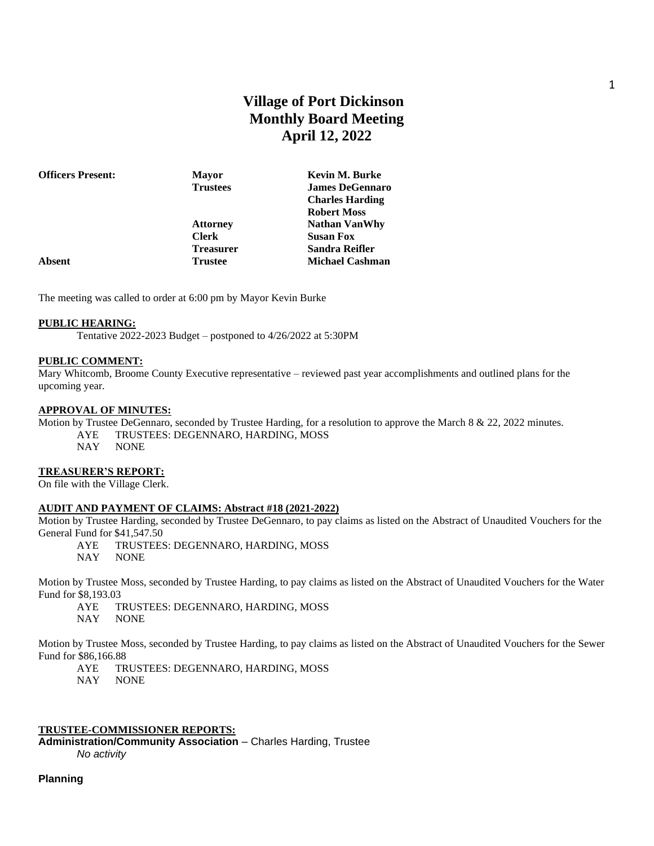# **Village of Port Dickinson Monthly Board Meeting April 12, 2022**

| <b>Officers Present:</b> | <b>Mayor</b>     | Kevin M. Burke         |
|--------------------------|------------------|------------------------|
|                          | <b>Trustees</b>  | <b>James DeGennaro</b> |
|                          |                  | <b>Charles Harding</b> |
|                          |                  | <b>Robert Moss</b>     |
|                          | <b>Attorney</b>  | <b>Nathan VanWhy</b>   |
|                          | <b>Clerk</b>     | <b>Susan Fox</b>       |
|                          | <b>Treasurer</b> | Sandra Reifler         |
| Absent                   | <b>Trustee</b>   | <b>Michael Cashman</b> |
|                          |                  |                        |

The meeting was called to order at 6:00 pm by Mayor Kevin Burke

#### **PUBLIC HEARING:**

Tentative 2022-2023 Budget – postponed to 4/26/2022 at 5:30PM

#### **PUBLIC COMMENT:**

Mary Whitcomb, Broome County Executive representative – reviewed past year accomplishments and outlined plans for the upcoming year.

#### **APPROVAL OF MINUTES:**

Motion by Trustee DeGennaro, seconded by Trustee Harding, for a resolution to approve the March 8 & 22, 2022 minutes. AYE TRUSTEES: DEGENNARO, HARDING, MOSS

NAY NONE

#### **TREASURER'S REPORT:**

On file with the Village Clerk.

#### **AUDIT AND PAYMENT OF CLAIMS: Abstract #18 (2021-2022)**

Motion by Trustee Harding, seconded by Trustee DeGennaro, to pay claims as listed on the Abstract of Unaudited Vouchers for the General Fund for \$41,547.50

- AYE TRUSTEES: DEGENNARO, HARDING, MOSS
- NAY NONE

Motion by Trustee Moss, seconded by Trustee Harding, to pay claims as listed on the Abstract of Unaudited Vouchers for the Water Fund for \$8,193.03

- AYE TRUSTEES: DEGENNARO, HARDING, MOSS
- NAY NONE

Motion by Trustee Moss, seconded by Trustee Harding, to pay claims as listed on the Abstract of Unaudited Vouchers for the Sewer Fund for \$86,166.88

AYE TRUSTEES: DEGENNARO, HARDING, MOSS

NAY NONE

### **TRUSTEE-COMMISSIONER REPORTS:**

**Administration/Community Association** – Charles Harding, Trustee

*No activity*

**Planning**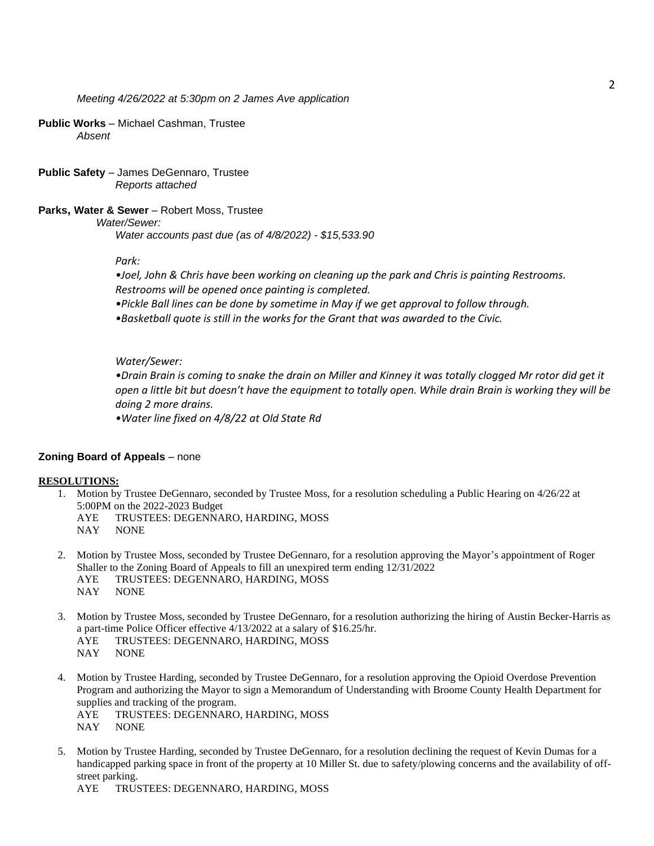#### **Public Works** – Michael Cashman, Trustee *Absent*

**Public Safety** – James DeGennaro, Trustee *Reports attached*

#### **Parks, Water & Sewer** – Robert Moss, Trustee

*Water/Sewer:* 

*Water accounts past due (as of 4/8/2022) - \$15,533.90*

### *Park:*

*•Joel, John & Chris have been working on cleaning up the park and Chris is painting Restrooms. Restrooms will be opened once painting is completed.*

*•Pickle Ball lines can be done by sometime in May if we get approval to follow through.* 

*•Basketball quote is still in the works for the Grant that was awarded to the Civic.* 

#### *Water/Sewer:*

*•Drain Brain is coming to snake the drain on Miller and Kinney it was totally clogged Mr rotor did get it open a little bit but doesn't have the equipment to totally open. While drain Brain is working they will be doing 2 more drains.* 

*•Water line fixed on 4/8/22 at Old State Rd*

### **Zoning Board of Appeals** – none

#### **RESOLUTIONS:**

- 1. Motion by Trustee DeGennaro, seconded by Trustee Moss, for a resolution scheduling a Public Hearing on 4/26/22 at 5:00PM on the 2022-2023 Budget
	- AYE TRUSTEES: DEGENNARO, HARDING, MOSS
	- NAY NONE
- 2. Motion by Trustee Moss, seconded by Trustee DeGennaro, for a resolution approving the Mayor's appointment of Roger Shaller to the Zoning Board of Appeals to fill an unexpired term ending 12/31/2022 AYE TRUSTEES: DEGENNARO, HARDING, MOSS
	- NAY NONE
- 3. Motion by Trustee Moss, seconded by Trustee DeGennaro, for a resolution authorizing the hiring of Austin Becker-Harris as a part-time Police Officer effective 4/13/2022 at a salary of \$16.25/hr.
	- AYE TRUSTEES: DEGENNARO, HARDING, MOSS
	- NAY NONE
- 4. Motion by Trustee Harding, seconded by Trustee DeGennaro, for a resolution approving the Opioid Overdose Prevention Program and authorizing the Mayor to sign a Memorandum of Understanding with Broome County Health Department for supplies and tracking of the program.

AYE TRUSTEES: DEGENNARO, HARDING, MOSS

- NAY NONE
- 5. Motion by Trustee Harding, seconded by Trustee DeGennaro, for a resolution declining the request of Kevin Dumas for a handicapped parking space in front of the property at 10 Miller St. due to safety/plowing concerns and the availability of offstreet parking.

AYE TRUSTEES: DEGENNARO, HARDING, MOSS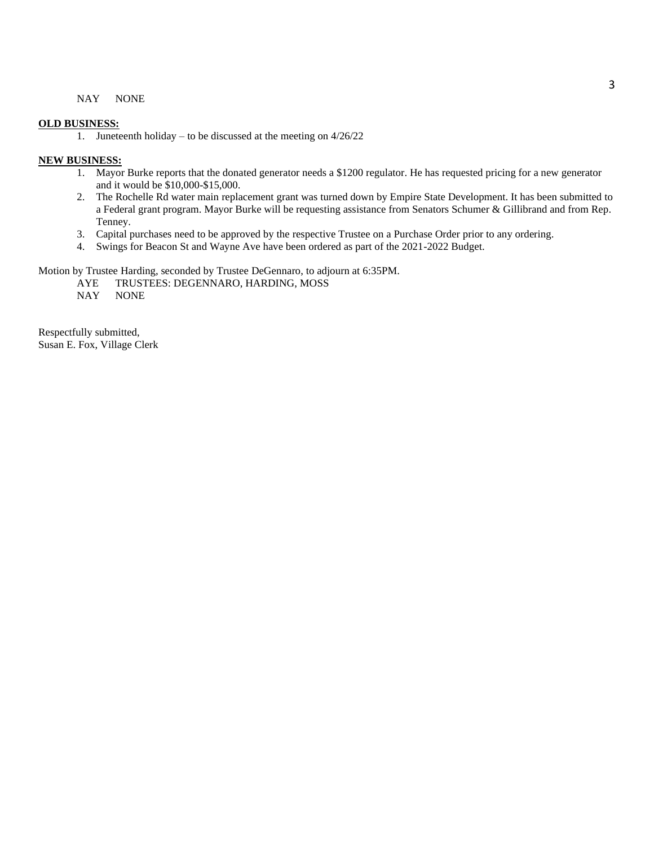#### NAY NONE

#### **OLD BUSINESS:**

1. Juneteenth holiday – to be discussed at the meeting on 4/26/22

#### **NEW BUSINESS:**

- 1. Mayor Burke reports that the donated generator needs a \$1200 regulator. He has requested pricing for a new generator and it would be \$10,000-\$15,000.
- 2. The Rochelle Rd water main replacement grant was turned down by Empire State Development. It has been submitted to a Federal grant program. Mayor Burke will be requesting assistance from Senators Schumer & Gillibrand and from Rep. Tenney.
- 3. Capital purchases need to be approved by the respective Trustee on a Purchase Order prior to any ordering.
- 4. Swings for Beacon St and Wayne Ave have been ordered as part of the 2021-2022 Budget.

Motion by Trustee Harding, seconded by Trustee DeGennaro, to adjourn at 6:35PM.

- AYE TRUSTEES: DEGENNARO, HARDING, MOSS<br>NAY NONE
- **NONE**

Respectfully submitted, Susan E. Fox, Village Clerk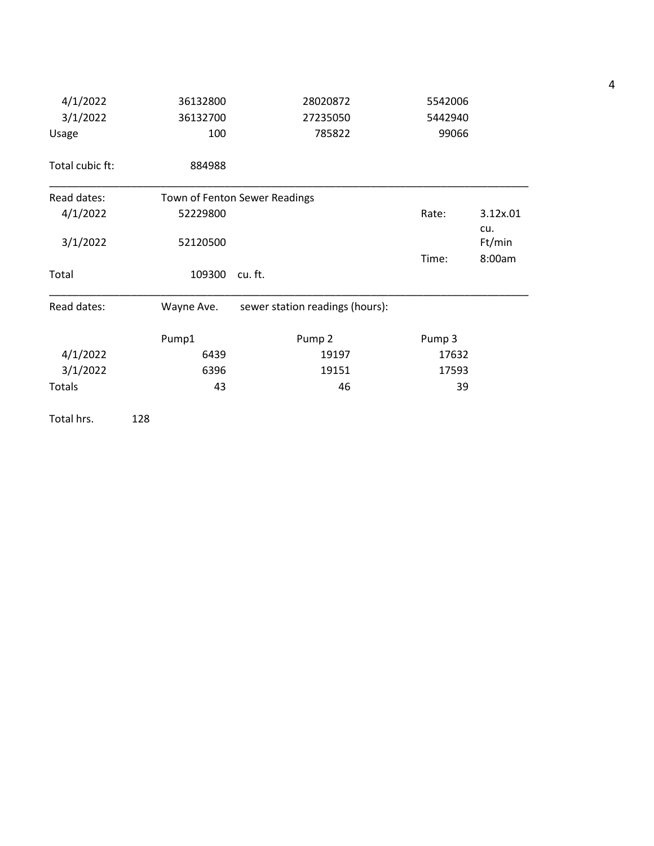| 4/1/2022        | 36132800   | 28020872                        | 5542006 |                  |  |
|-----------------|------------|---------------------------------|---------|------------------|--|
| 3/1/2022        | 36132700   | 27235050                        | 5442940 |                  |  |
| Usage           | 100        | 785822                          | 99066   |                  |  |
| Total cubic ft: | 884988     |                                 |         |                  |  |
| Read dates:     |            | Town of Fenton Sewer Readings   |         |                  |  |
| 4/1/2022        | 52229800   |                                 | Rate:   | 3.12x.01<br>cu.  |  |
| 3/1/2022        | 52120500   |                                 | Time:   | Ft/min<br>8:00am |  |
| Total           | 109300     | cu.ft.                          |         |                  |  |
| Read dates:     | Wayne Ave. | sewer station readings (hours): |         |                  |  |
|                 | Pump1      | Pump <sub>2</sub>               | Pump 3  |                  |  |
| 4/1/2022        | 6439       | 19197                           | 17632   |                  |  |
| 3/1/2022        | 6396       | 19151                           | 17593   |                  |  |
| <b>Totals</b>   | 43         | 46                              | 39      |                  |  |

Total hrs. 128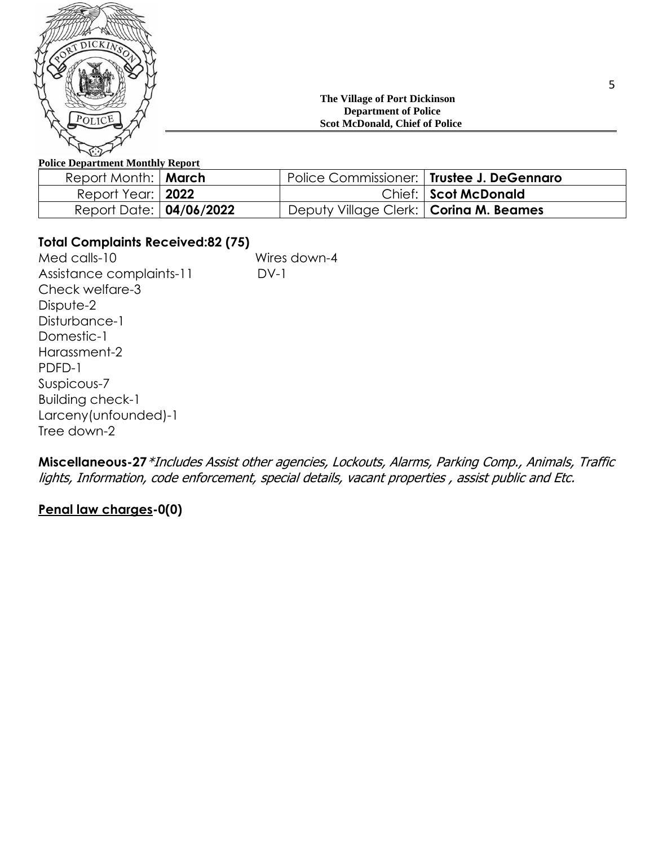

## **The Village of Port Dickinson Department of Police Scot McDonald, Chief of Police**

## **Police Department Monthly Report**

| Report Month:   March   | Police Commissioner:   Trustee J. DeGennaro |                      |
|-------------------------|---------------------------------------------|----------------------|
| Report Year:   2022     |                                             | Chief: Scot McDonald |
| Report Date: 04/06/2022 | Deputy Village Clerk:   Corina M. Beames    |                      |

## **Total Complaints Received:82 (75)**

Med calls-10 Wires down-4 Assistance complaints-11 DV-1 Check welfare-3 Dispute-2 Disturbance-1 Domestic-1 Harassment-2 PDFD-1 Suspicous-7 Building check-1 Larceny(unfounded)-1 Tree down-2

**Miscellaneous-27**\*Includes Assist other agencies, Lockouts, Alarms, Parking Comp., Animals, Traffic lights, Information, code enforcement, special details, vacant properties , assist public and Etc.

## **Penal law charges-0(0)**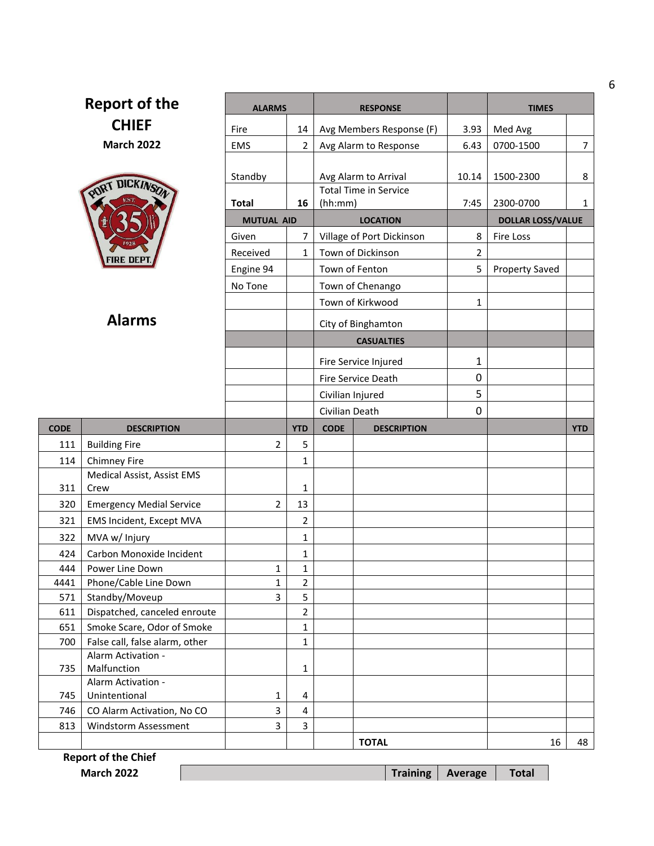| <b>Report of the</b> |                                                      | <b>ALARMS</b>     |                         | <b>RESPONSE</b>              |                    | <b>TIMES</b>             |                 |
|----------------------|------------------------------------------------------|-------------------|-------------------------|------------------------------|--------------------|--------------------------|-----------------|
| <b>CHIEF</b>         |                                                      | Fire              | 14                      | Avg Members Response (F)     | 3.93               | Med Avg                  |                 |
| <b>March 2022</b>    |                                                      | <b>EMS</b>        | $\overline{2}$          | Avg Alarm to Response        | 6.43               | 0700-1500                | $7\overline{ }$ |
|                      |                                                      |                   |                         |                              |                    |                          |                 |
|                      |                                                      | Standby           |                         | Avg Alarm to Arrival         | 10.14              | 1500-2300                | 8               |
|                      | PORT DICKINSON                                       |                   |                         | <b>Total Time in Service</b> |                    |                          |                 |
|                      |                                                      | <b>Total</b>      | 16                      | (hh:mm)                      | 7:45               | 2300-0700                | $\mathbf{1}$    |
|                      |                                                      | <b>MUTUAL AID</b> |                         | <b>LOCATION</b>              |                    | <b>DOLLAR LOSS/VALUE</b> |                 |
|                      |                                                      | Given             | 7                       | Village of Port Dickinson    | 8                  | Fire Loss                |                 |
|                      | FIRE DEP                                             | Received          | $\mathbf{1}$            | Town of Dickinson            | $\overline{2}$     |                          |                 |
|                      |                                                      | Engine 94         |                         | Town of Fenton               | 5                  | <b>Property Saved</b>    |                 |
|                      |                                                      | No Tone           |                         | Town of Chenango             |                    |                          |                 |
|                      |                                                      |                   |                         | Town of Kirkwood             | $\mathbf{1}$       |                          |                 |
|                      | <b>Alarms</b>                                        |                   |                         | City of Binghamton           |                    |                          |                 |
|                      |                                                      |                   |                         |                              |                    |                          |                 |
|                      |                                                      |                   |                         | <b>CASUALTIES</b>            |                    |                          |                 |
|                      |                                                      |                   |                         | Fire Service Injured         | 1                  |                          |                 |
|                      |                                                      |                   |                         | Fire Service Death           | 0                  |                          |                 |
|                      |                                                      |                   |                         | Civilian Injured             | 5                  |                          |                 |
|                      |                                                      |                   |                         | Civilian Death               | 0                  |                          |                 |
|                      |                                                      |                   |                         |                              | <b>DESCRIPTION</b> |                          |                 |
| <b>CODE</b>          | <b>DESCRIPTION</b>                                   |                   | <b>YTD</b>              | <b>CODE</b>                  |                    |                          | <b>YTD</b>      |
| 111                  | <b>Building Fire</b>                                 | $\overline{2}$    | 5                       |                              |                    |                          |                 |
| 114                  | <b>Chimney Fire</b>                                  |                   | $\mathbf{1}$            |                              |                    |                          |                 |
|                      | Medical Assist, Assist EMS                           |                   |                         |                              |                    |                          |                 |
| 311                  | Crew                                                 |                   | $\mathbf 1$             |                              |                    |                          |                 |
| 320                  | <b>Emergency Medial Service</b>                      | $\overline{2}$    | 13                      |                              |                    |                          |                 |
| 321                  | EMS Incident, Except MVA                             |                   | $\overline{2}$          |                              |                    |                          |                 |
| 322                  | MVA w/ Injury                                        |                   | $\mathbf{1}$            |                              |                    |                          |                 |
| 424                  | Carbon Monoxide Incident                             |                   | 1                       |                              |                    |                          |                 |
| 444                  | Power Line Down                                      | 1                 | 1                       |                              |                    |                          |                 |
| 4441                 | Phone/Cable Line Down                                | $\mathbf{1}$      | $\overline{2}$          |                              |                    |                          |                 |
| 571                  | Standby/Moveup                                       | 3                 | 5                       |                              |                    |                          |                 |
| 611                  | Dispatched, canceled enroute                         |                   | $\overline{2}$          |                              |                    |                          |                 |
| 651                  | Smoke Scare, Odor of Smoke                           |                   | $\mathbf{1}$            |                              |                    |                          |                 |
| 700                  | False call, false alarm, other<br>Alarm Activation - |                   | 1                       |                              |                    |                          |                 |
| 735                  | Malfunction                                          |                   | $\mathbf{1}$            |                              |                    |                          |                 |
|                      | Alarm Activation -                                   |                   |                         |                              |                    |                          |                 |
| 745                  | Unintentional                                        | 1                 | 4                       |                              |                    |                          |                 |
| 746                  | CO Alarm Activation, No CO                           | 3                 | $\overline{\mathbf{4}}$ |                              |                    |                          |                 |
| 813                  | Windstorm Assessment                                 | 3                 | 3                       | <b>TOTAL</b>                 |                    | 16                       | 48              |

**Report of the Chief**

└

**March 2022 Training Average Total**